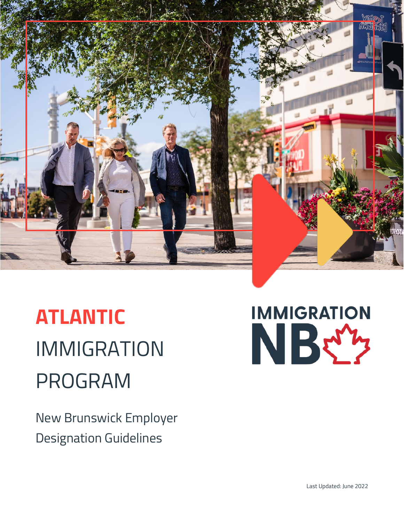

# **ATLANTIC** IMMIGRATION PROGRAM

New Brunswick Employer Designation Guidelines

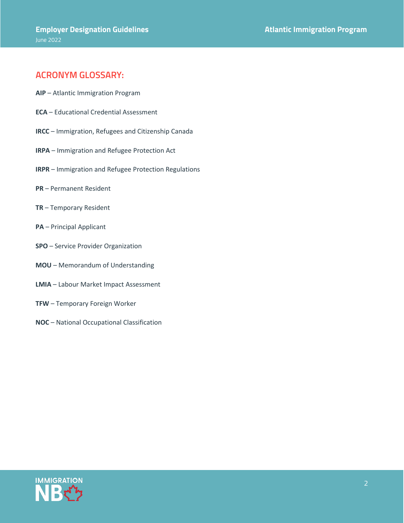#### **ACRONYM GLOSSARY:**

- **AIP** Atlantic Immigration Program
- **ECA** Educational Credential Assessment
- **IRCC** Immigration, Refugees and Citizenship Canada
- **IRPA** Immigration and Refugee Protection Act
- **IRPR** Immigration and Refugee Protection Regulations
- **PR** Permanent Resident
- **TR**  Temporary Resident
- **PA** Principal Applicant
- **SPO** Service Provider Organization
- **MOU** Memorandum of Understanding
- **LMIA** Labour Market Impact Assessment
- **TFW** Temporary Foreign Worker
- **NOC** National Occupational Classification

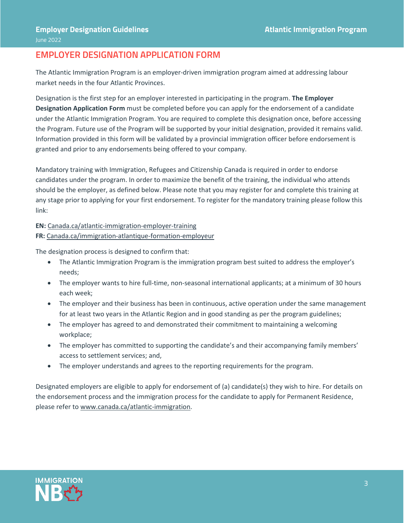#### **EMPLOYER DESIGNATION APPLICATION FORM**

The Atlantic Immigration Program is an employer-driven immigration program aimed at addressing labour market needs in the four Atlantic Provinces.

Designation is the first step for an employer interested in participating in the program. **The Employer Designation Application Form** must be completed before you can apply for the endorsement of a candidate under the Atlantic Immigration Program. You are required to complete this designation once, before accessing the Program. Future use of the Program will be supported by your initial designation, provided it remains valid. Information provided in this form will be validated by a provincial immigration officer before endorsement is granted and prior to any endorsements being offered to your company.

Mandatory training with Immigration, Refugees and Citizenship Canada is required in order to endorse candidates under the program. In order to maximize the benefit of the training, the individual who attends should be the employer, as defined below. Please note that you may register for and complete this training at any stage prior to applying for your first endorsement. To register for the mandatory training please follow this link:

#### **EN:** [Canada.ca/atlantic-immigration-employer-training](https://www.canada.ca/en/immigration-refugees-citizenship/services/immigrate-canada/atlantic-immigration/hire-immigrant/employer-training.html?utm_campaign=not-applicable&utm_medium=vanity-url&utm_source=canada-ca_atlantic-immigration-employer-training)

**FR:** [Canada.ca/immigration-atlantique-formation-employeur](https://www.canada.ca/fr/immigration-refugies-citoyennete/services/immigrer-canada/programme-immigration-atlantique/embaucher-immigrant/formation-employeur.html?utm_campaign=not-applicable&utm_medium=vanity-url&utm_source=canada-ca_immigration-atlantique-formation-employeur)

The designation process is designed to confirm that:

- The Atlantic Immigration Program is the immigration program best suited to address the employer's needs;
- The employer wants to hire full-time, non-seasonal international applicants; at a minimum of 30 hours each week;
- The employer and their business has been in continuous, active operation under the same management for at least two years in the Atlantic Region and in good standing as per the program guidelines;
- The employer has agreed to and demonstrated their commitment to maintaining a welcoming workplace;
- The employer has committed to supporting the candidate's and their accompanying family members' access to settlement services; and,
- The employer understands and agrees to the reporting requirements for the program.

Designated employers are eligible to apply for endorsement of (a) candidate(s) they wish to hire. For details on the endorsement process and the immigration process for the candidate to apply for Permanent Residence, please refer t[o www.canada.ca/atlantic-immigration.](http://www.canada.ca/atlantic-immigration)

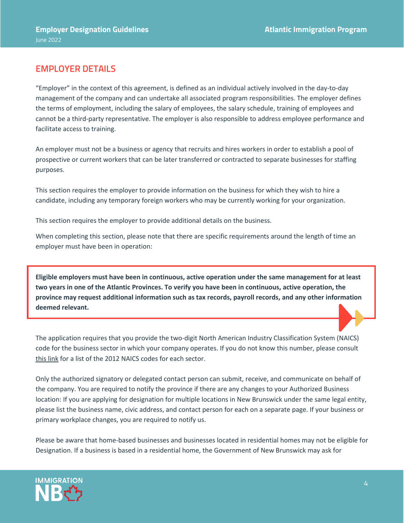## **EMPLOYER DETAILS**

"Employer" in the context of this agreement, is defined as an individual actively involved in the day-to-day management of the company and can undertake all associated program responsibilities. The employer defines the terms of employment, including the salary of employees, the salary schedule, training of employees and cannot be a third-party representative. The employer is also responsible to address employee performance and facilitate access to training.

An employer must not be a business or agency that recruits and hires workers in order to establish a pool of prospective or current workers that can be later transferred or contracted to separate businesses for staffing purposes.

This section requires the employer to provide information on the business for which they wish to hire a candidate, including any temporary foreign workers who may be currently working for your organization.

This section requires the employer to provide additional details on the business.

When completing this section, please note that there are specific requirements around the length of time an employer must have been in operation:

**Eligible employers must have been in continuous, active operation under the same management for at least two years in one of the Atlantic Provinces. To verify you have been in continuous, active operation, the province may request additional information such as tax records, payroll records, and any other information deemed relevant.**

The application requires that you provide the two-digit North American Industry Classification System (NAICS) code for the business sector in which your company operates. If you do not know this number, please consult [this link](http://www23.statcan.gc.ca/imdb/p3VD.pl?Function=getVDPage1&db=imdb&dis=2&adm=8&TVD=118464) for a list of the 2012 NAICS codes for each sector.

Only the authorized signatory or delegated contact person can submit, receive, and communicate on behalf of the company. You are required to notify the province if there are any changes to your Authorized Business location: If you are applying for designation for multiple locations in New Brunswick under the same legal entity, please list the business name, civic address, and contact person for each on a separate page. If your business or primary workplace changes, you are required to notify us.

Please be aware that home-based businesses and businesses located in residential homes may not be eligible for Designation. If a business is based in a residential home, the Government of New Brunswick may ask for

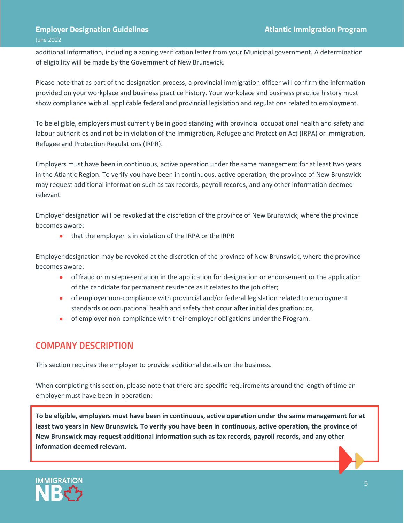#### **Employer Designation Guidelines Atlantic Immigration Program** June 2022

additional information, including a zoning verification letter from your Municipal government. A determination of eligibility will be made by the Government of New Brunswick.

Please note that as part of the designation process, a provincial immigration officer will confirm the information provided on your workplace and business practice history. Your workplace and business practice history must show compliance with all applicable federal and provincial legislation and regulations related to employment.

To be eligible, employers must currently be in good standing with provincial occupational health and safety and labour authorities and not be in violation of the Immigration, Refugee and Protection Act (IRPA) or Immigration, Refugee and Protection Regulations (IRPR).

Employers must have been in continuous, active operation under the same management for at least two years in the Atlantic Region. To verify you have been in continuous, active operation, the province of New Brunswick may request additional information such as tax records, payroll records, and any other information deemed relevant.

Employer designation will be revoked at the discretion of the province of New Brunswick, where the province becomes aware:

• that the employer is in violation of the IRPA or the IRPR

Employer designation may be revoked at the discretion of the province of New Brunswick, where the province becomes aware:

- of fraud or misrepresentation in the application for designation or endorsement or the application of the candidate for permanent residence as it relates to the job offer;
- of employer non-compliance with provincial and/or federal legislation related to employment standards or occupational health and safety that occur after initial designation; or,
- of employer non-compliance with their employer obligations under the Program.

# **COMPANY DESCRIPTION**

This section requires the employer to provide additional details on the business.

When completing this section, please note that there are specific requirements around the length of time an employer must have been in operation:

**To be eligible, employers must have been in continuous, active operation under the same management for at least two years in New Brunswick. To verify you have been in continuous, active operation, the province of New Brunswick may request additional information such as tax records, payroll records, and any other information deemed relevant.**

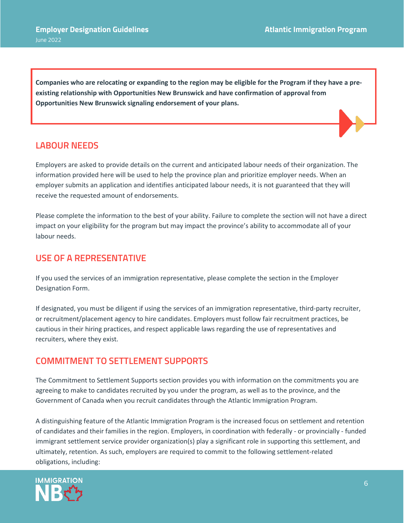**Companies who are relocating or expanding to the region may be eligible for the Program if they have a preexisting relationship with Opportunities New Brunswick and have confirmation of approval from Opportunities New Brunswick signaling endorsement of your plans.**

#### **LABOUR NEEDS**

Employers are asked to provide details on the current and anticipated labour needs of their organization. The information provided here will be used to help the province plan and prioritize employer needs. When an employer submits an application and identifies anticipated labour needs, it is not guaranteed that they will receive the requested amount of endorsements.

Please complete the information to the best of your ability. Failure to complete the section will not have a direct impact on your eligibility for the program but may impact the province's ability to accommodate all of your labour needs.

#### **USE OF A REPRESENTATIVE**

If you used the services of an immigration representative, please complete the section in the Employer Designation Form.

If designated, you must be diligent if using the services of an immigration representative, third-party recruiter, or recruitment/placement agency to hire candidates. Employers must follow fair recruitment practices, be cautious in their hiring practices, and respect applicable laws regarding the use of representatives and recruiters, where they exist.

# **COMMITMENT TO SETTLEMENT SUPPORTS**

The Commitment to Settlement Supports section provides you with information on the commitments you are agreeing to make to candidates recruited by you under the program, as well as to the province, and the Government of Canada when you recruit candidates through the Atlantic Immigration Program.

A distinguishing feature of the Atlantic Immigration Program is the increased focus on settlement and retention of candidates and their families in the region. Employers, in coordination with federally - or provincially - funded immigrant settlement service provider organization(s) play a significant role in supporting this settlement, and ultimately, retention. As such, employers are required to commit to the following settlement-related obligations, including:

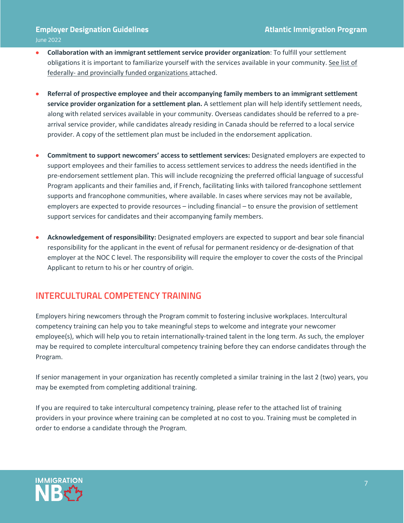- **Collaboration with an immigrant settlement service provider organization**: To fulfill your settlement obligations it is important to familiarize yourself with the services available in your community. See list of federally- and provincially funded organizations attached.
- **Referral of prospective employee and their accompanying family members to an immigrant settlement service provider organization for a settlement plan.** A settlement plan will help identify settlement needs, along with related services available in your community. Overseas candidates should be referred to a prearrival service provider, while candidates already residing in Canada should be referred to a local service provider. A copy of the settlement plan must be included in the endorsement application.
- **Commitment to support newcomers' access to settlement services:** Designated employers are expected to support employees and their families to access settlement services to address the needs identified in the pre-endorsement settlement plan. This will include recognizing the preferred official language of successful Program applicants and their families and, if French, facilitating links with tailored francophone settlement supports and francophone communities, where available. In cases where services may not be available, employers are expected to provide resources – including financial – to ensure the provision of settlement support services for candidates and their accompanying family members.
- **Acknowledgement of responsibility:** Designated employers are expected to support and bear sole financial responsibility for the applicant in the event of refusal for permanent residency or de-designation of that employer at the NOC C level. The responsibility will require the employer to cover the costs of the Principal Applicant to return to his or her country of origin.

#### **INTERCULTURAL COMPETENCY TRAINING**

Employers hiring newcomers through the Program commit to fostering inclusive workplaces. Intercultural competency training can help you to take meaningful steps to welcome and integrate your newcomer employee(s), which will help you to retain internationally-trained talent in the long term. As such, the employer may be required to complete intercultural competency training before they can endorse candidates through the Program.

If senior management in your organization has recently completed a similar training in the last 2 (two) years, you may be exempted from completing additional training.

If you are required to take intercultural competency training, please refer to the attached list of training providers in your province where training can be completed at no cost to you. Training must be completed in order to endorse a candidate through the Program.

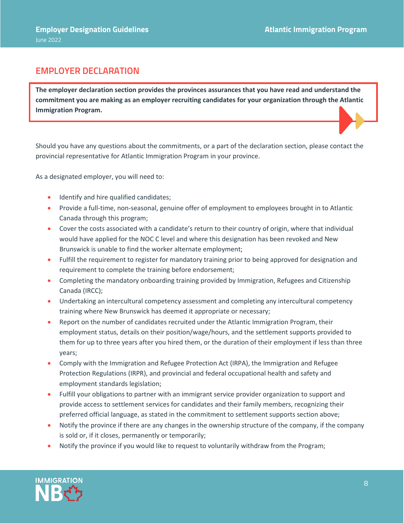## **EMPLOYER DECLARATION**

**The employer declaration section provides the provinces assurances that you have read and understand the commitment you are making as an employer recruiting candidates for your organization through the Atlantic Immigration Program.** 

Should you have any questions about the commitments, or a part of the declaration section, please contact the provincial representative for Atlantic Immigration Program in your province.

As a designated employer, you will need to:

- Identify and hire qualified candidates;
- Provide a full-time, non-seasonal, genuine offer of employment to employees brought in to Atlantic Canada through this program;
- Cover the costs associated with a candidate's return to their country of origin, where that individual would have applied for the NOC C level and where this designation has been revoked and New Brunswick is unable to find the worker alternate employment;
- Fulfill the requirement to register for mandatory training prior to being approved for designation and requirement to complete the training before endorsement;
- Completing the mandatory onboarding training provided by Immigration, Refugees and Citizenship Canada (IRCC);
- Undertaking an intercultural competency assessment and completing any intercultural competency training where New Brunswick has deemed it appropriate or necessary;
- Report on the number of candidates recruited under the Atlantic Immigration Program, their employment status, details on their position/wage/hours, and the settlement supports provided to them for up to three years after you hired them, or the duration of their employment if less than three years;
- Comply with the Immigration and Refugee Protection Act (IRPA), the Immigration and Refugee Protection Regulations (IRPR), and provincial and federal occupational health and safety and employment standards legislation;
- Fulfill your obligations to partner with an immigrant service provider organization to support and provide access to settlement services for candidates and their family members, recognizing their preferred official language, as stated in the commitment to settlement supports section above;
- Notify the province if there are any changes in the ownership structure of the company, if the company is sold or, if it closes, permanently or temporarily;
- Notify the province if you would like to request to voluntarily withdraw from the Program;